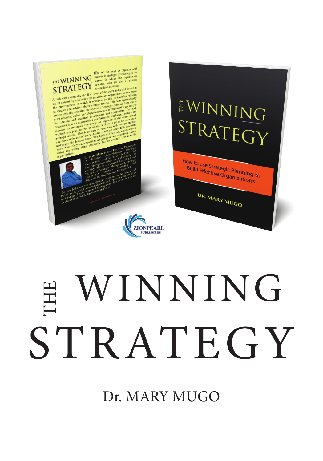

# STRATEGY WINNING THE

Dr. MARY MUGO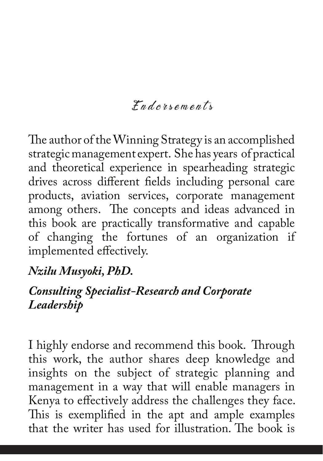## Endorsements

The author of the Winning Strategy is an accomplished strategic management expert. She has years of practical and theoretical experience in spearheading strategic drives across different fields including personal care products, aviation services, corporate management among others. The concepts and ideas advanced in this book are practically transformative and capable of changing the fortunes of an organization if implemented effectively.

#### *Nzilu Musyoki, PhD.*

#### *Consulting Specialist-Research and Corporate Leadership*

I highly endorse and recommend this book. Through this work, the author shares deep knowledge and insights on the subject of strategic planning and management in a way that will enable managers in Kenya to effectively address the challenges they face. This is exemplified in the apt and ample examples that the writer has used for illustration. The book is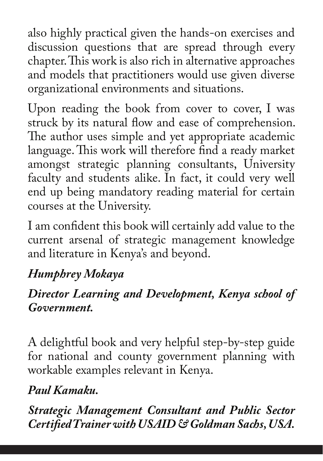also highly practical given the hands-on exercises and discussion questions that are spread through every chapter. This work is also rich in alternative approaches and models that practitioners would use given diverse organizational environments and situations.

Upon reading the book from cover to cover, I was struck by its natural flow and ease of comprehension. The author uses simple and yet appropriate academic language. This work will therefore find a ready market amongst strategic planning consultants, University faculty and students alike. In fact, it could very well end up being mandatory reading material for certain courses at the University.

I am confident this book will certainly add value to the current arsenal of strategic management knowledge and literature in Kenya's and beyond.

## *Humphrey Mokaya*

## *Director Learning and Development, Kenya school of Government.*

A delightful book and very helpful step-by-step guide for national and county government planning with workable examples relevant in Kenya.

## *Paul Kamaku.*

*Strategic Management Consultant and Public Sector Certified Trainer with USAID & Goldman Sachs, USA.*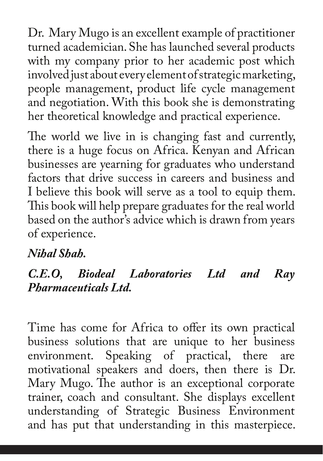Dr. Mary Mugo is an excellent example of practitioner turned academician. She has launched several products with my company prior to her academic post which involved just about every element of strategic marketing, people management, product life cycle management and negotiation. With this book she is demonstrating her theoretical knowledge and practical experience.

The world we live in is changing fast and currently, there is a huge focus on Africa. Kenyan and African businesses are yearning for graduates who understand factors that drive success in careers and business and I believe this book will serve as a tool to equip them. This book will help prepare graduates for the real world based on the author's advice which is drawn from years of experience.

## *Nihal Shah.*

## *C.E.O, Biodeal Laboratories Ltd and Ray Pharmaceuticals Ltd.*

Time has come for Africa to offer its own practical business solutions that are unique to her business environment. Speaking of practical, there are motivational speakers and doers, then there is Dr. Mary Mugo. The author is an exceptional corporate trainer, coach and consultant. She displays excellent understanding of Strategic Business Environment and has put that understanding in this masterpiece.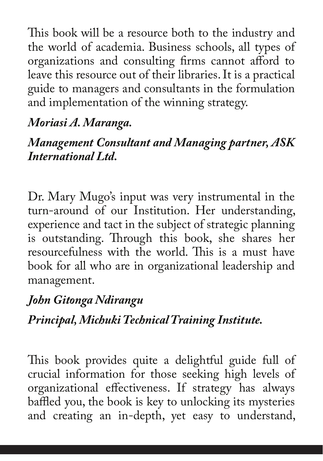This book will be a resource both to the industry and the world of academia. Business schools, all types of organizations and consulting firms cannot afford to leave this resource out of their libraries. It is a practical guide to managers and consultants in the formulation and implementation of the winning strategy.

## *Moriasi A. Maranga.*

## *Management Consultant and Managing partner, ASK International Ltd.*

Dr. Mary Mugo's input was very instrumental in the turn-around of our Institution. Her understanding, experience and tact in the subject of strategic planning is outstanding. Through this book, she shares her resourcefulness with the world. This is a must have book for all who are in organizational leadership and management.

## *John Gitonga Ndirangu*

*Principal, Michuki Technical Training Institute.* 

This book provides quite a delightful guide full of crucial information for those seeking high levels of organizational effectiveness. If strategy has always baffled you, the book is key to unlocking its mysteries and creating an in-depth, yet easy to understand,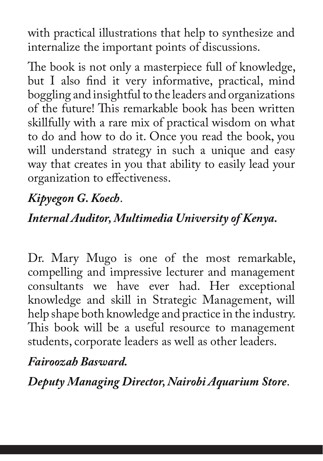with practical illustrations that help to synthesize and internalize the important points of discussions.

The book is not only a masterpiece full of knowledge, but I also find it very informative, practical, mind boggling and insightful to the leaders and organizations of the future! This remarkable book has been written skillfully with a rare mix of practical wisdom on what to do and how to do it. Once you read the book, you will understand strategy in such a unique and easy way that creates in you that ability to easily lead your organization to effectiveness.

# *Kipyegon G. Koech*.

## *Internal Auditor, Multimedia University of Kenya.*

Dr. Mary Mugo is one of the most remarkable, compelling and impressive lecturer and management consultants we have ever had. Her exceptional knowledge and skill in Strategic Management, will help shape both knowledge and practice in the industry. This book will be a useful resource to management students, corporate leaders as well as other leaders.

## *Fairoozah Basward.*

*Deputy Managing Director, Nairobi Aquarium Store*.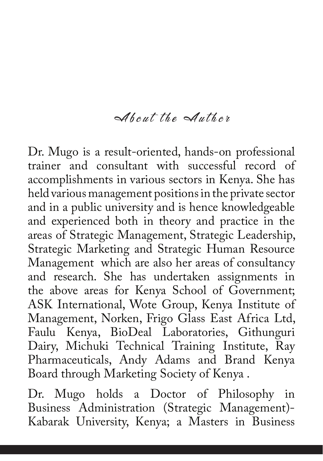#### About the Author

Dr. Mugo is a result-oriented, hands-on professional trainer and consultant with successful record of accomplishments in various sectors in Kenya. She has held various management positions in the private sector and in a public university and is hence knowledgeable and experienced both in theory and practice in the areas of Strategic Management, Strategic Leadership, Strategic Marketing and Strategic Human Resource Management which are also her areas of consultancy and research. She has undertaken assignments in the above areas for Kenya School of Government; ASK International, Wote Group, Kenya Institute of Management, Norken, Frigo Glass East Africa Ltd, Faulu Kenya, BioDeal Laboratories, Githunguri Dairy, Michuki Technical Training Institute, Ray Pharmaceuticals, Andy Adams and Brand Kenya Board through Marketing Society of Kenya .

Dr. Mugo holds a Doctor of Philosophy in Business Administration (Strategic Management)- Kabarak University, Kenya; a Masters in Business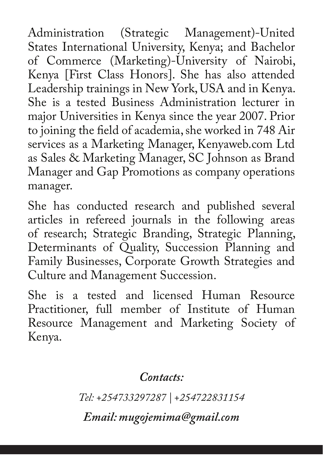Administration (Strategic Management)-United States International University, Kenya; and Bachelor of Commerce (Marketing)-University of Nairobi, Kenya [First Class Honors]. She has also attended Leadership trainings in New York, USA and in Kenya. She is a tested Business Administration lecturer in major Universities in Kenya since the year 2007. Prior to joining the field of academia, she worked in 748 Air services as a Marketing Manager, Kenyaweb.com Ltd as Sales & Marketing Manager, SC Johnson as Brand Manager and Gap Promotions as company operations manager.

She has conducted research and published several articles in refereed journals in the following areas of research; Strategic Branding, Strategic Planning, Determinants of Quality, Succession Planning and Family Businesses, Corporate Growth Strategies and Culture and Management Succession.

She is a tested and licensed Human Resource Practitioner, full member of Institute of Human Resource Management and Marketing Society of Kenya.

*Contacts:*

*Tel: +254733297287 | +254722831154*

*Email: mugojemima@gmail.com*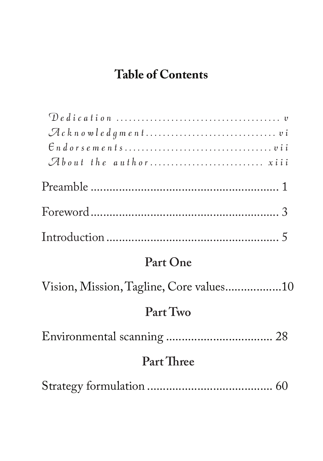# **Table of Contents**

## **Part One**

| Vision, Mission, Tagline, Core values10 |
|-----------------------------------------|
| Part Two                                |
|                                         |
| Part Three                              |
|                                         |

|--|--|--|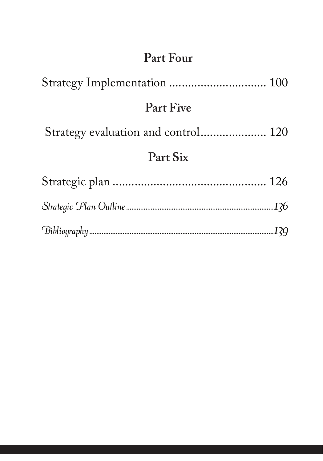## **Part Four**

| <b>Part Five</b> |     |
|------------------|-----|
|                  |     |
| Part Six         |     |
|                  |     |
|                  |     |
|                  | I?9 |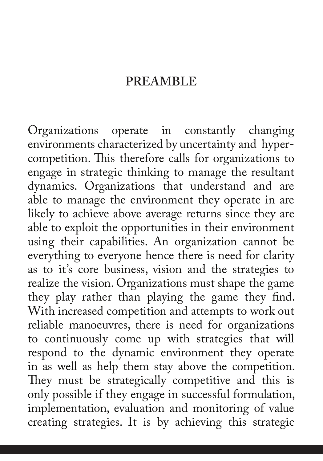#### **PREAMBLE**

Organizations operate in constantly changing environments characterized by uncertainty and hypercompetition. This therefore calls for organizations to engage in strategic thinking to manage the resultant dynamics. Organizations that understand and are able to manage the environment they operate in are likely to achieve above average returns since they are able to exploit the opportunities in their environment using their capabilities. An organization cannot be everything to everyone hence there is need for clarity as to it's core business, vision and the strategies to realize the vision. Organizations must shape the game they play rather than playing the game they find. With increased competition and attempts to work out reliable manoeuvres, there is need for organizations to continuously come up with strategies that will respond to the dynamic environment they operate in as well as help them stay above the competition. They must be strategically competitive and this is only possible if they engage in successful formulation, implementation, evaluation and monitoring of value creating strategies. It is by achieving this strategic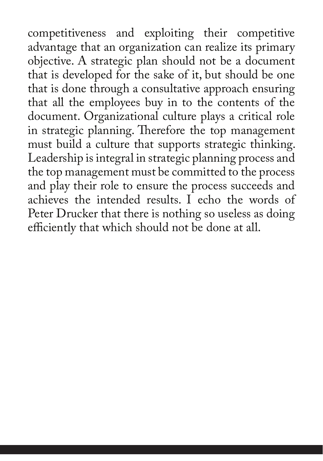competitiveness and exploiting their competitive advantage that an organization can realize its primary objective. A strategic plan should not be a document that is developed for the sake of it, but should be one that is done through a consultative approach ensuring that all the employees buy in to the contents of the document. Organizational culture plays a critical role in strategic planning. Therefore the top management must build a culture that supports strategic thinking. Leadership is integral in strategic planning process and the top management must be committed to the process and play their role to ensure the process succeeds and achieves the intended results. I echo the words of Peter Drucker that there is nothing so useless as doing efficiently that which should not be done at all.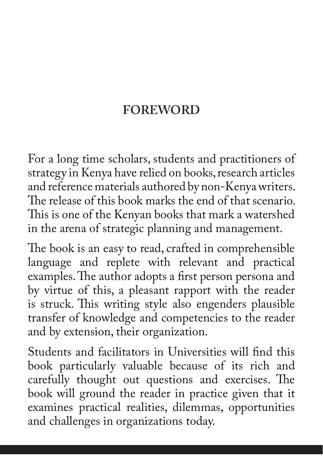## **FOREWORD**

For a long time scholars, students and practitioners of strategy in Kenya have relied on books, research articles and reference materials authored by non-Kenya writers. The release of this book marks the end of that scenario. This is one of the Kenyan books that mark a watershed in the arena of strategic planning and management.

The book is an easy to read, crafted in comprehensible language and replete with relevant and practical examples. The author adopts a first person persona and by virtue of this, a pleasant rapport with the reader is struck. This writing style also engenders plausible transfer of knowledge and competencies to the reader and by extension, their organization.

Students and facilitators in Universities will find this book particularly valuable because of its rich and carefully thought out questions and exercises. The book will ground the reader in practice given that it examines practical realities, dilemmas, opportunities and challenges in organizations today.